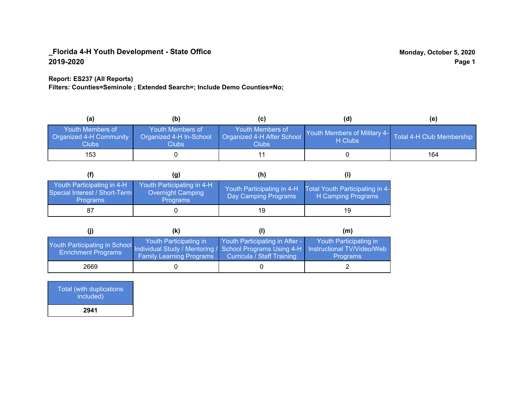#### **Report: ES237 (All Reports)**

**Filters: Counties=Seminole ; Extended Search=; Include Demo Counties=No;**

| (a                                                          | (b)                                                         | (C)                                                       | (d)                                                               | (e) |
|-------------------------------------------------------------|-------------------------------------------------------------|-----------------------------------------------------------|-------------------------------------------------------------------|-----|
| Youth Members of<br>Organized 4-H Community<br><b>Clubs</b> | Youth Members of<br>Organized 4-H In-School<br><b>Clubs</b> | Youth Members of<br>Organized 4-H After School<br>Clubs : | Youth Members of Military 4- Total 4-H Club Membership<br>H Clubs |     |
| 153                                                         |                                                             |                                                           |                                                                   | 164 |

|                                                                                | (g)                                                                | (h)                                                |                                                       |
|--------------------------------------------------------------------------------|--------------------------------------------------------------------|----------------------------------------------------|-------------------------------------------------------|
| Youth Participating in 4-H<br>Special Interest / Short-Term<br><b>Programs</b> | Youth Participating in 4-H<br>Overnight Camping<br><b>Programs</b> | Youth Participating in 4-H<br>Day Camping Programs | Total Youth Participating in 4-<br>H Camping Programs |
|                                                                                |                                                                    | 19                                                 | 19                                                    |

|                                                                                                                   | (k)                                                       |                                                              | (m)                                       |
|-------------------------------------------------------------------------------------------------------------------|-----------------------------------------------------------|--------------------------------------------------------------|-------------------------------------------|
| Youth Participating in School Individual Study / Mentoring / School Programs Using 4-H Instructional TV/Video/Web | Youth Participating in<br><b>Family Learning Programs</b> | Youth Participating in After -<br>Curricula / Staff Training | Youth Participating in<br><b>Programs</b> |
| 2669                                                                                                              |                                                           |                                                              |                                           |

| Total (with duplications<br>included) |  |
|---------------------------------------|--|
| 2941                                  |  |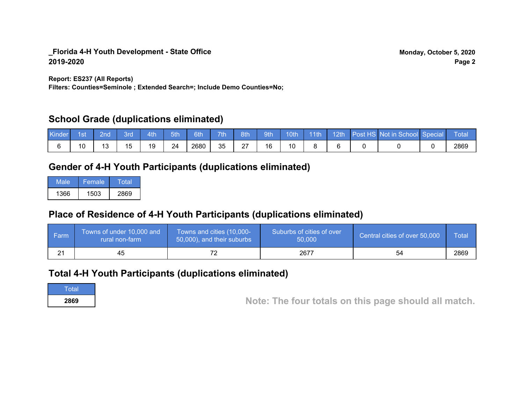**Report: ES237 (All Reports)**

**Filters: Counties=Seminole ; Extended Search=; Include Demo Counties=No;**

## **School Grade (duplications eliminated)**

| Kinde | 1st | 2nd' | Brd | 4th | 5th | 6th  | 7th | 8th      | 9th | 10th | $-11$ th | 12th | Post HS Not in School Special | <b>Total</b> |
|-------|-----|------|-----|-----|-----|------|-----|----------|-----|------|----------|------|-------------------------------|--------------|
|       |     |      | 15  | 19  | 24  | 2680 | 35  | ົ<br>ا ڪ | 16  | 10   |          |      |                               | 2869         |

# **Gender of 4-H Youth Participants (duplications eliminated)**

| Male | 'Female | Total |
|------|---------|-------|
| 1366 | 1503    | 2869  |

# **Place of Residence of 4-H Youth Participants (duplications eliminated)**

| ∣ Farm | Towns of under 10,000 and<br>rural non-farm | Towns and cities (10,000-<br>50,000), and their suburbs | Suburbs of cities of over<br>50,000 | Central cities of over 50,000 | Total |
|--------|---------------------------------------------|---------------------------------------------------------|-------------------------------------|-------------------------------|-------|
| ິ      | 45                                          |                                                         | 2677                                | 54                            | 2869  |

## **Total 4-H Youth Participants (duplications eliminated)**

**Total** 

**<sup>2869</sup> Note: The four totals on this page should all match.**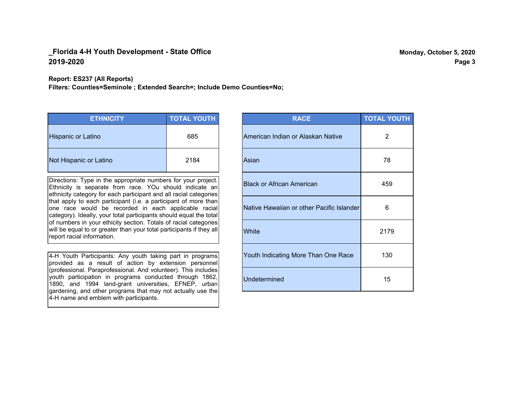#### **Report: ES237 (All Reports)**

**Filters: Counties=Seminole ; Extended Search=; Include Demo Counties=No;**

| <b>ETHNICITY</b>       | <b>TOTAL YOUTH</b> |
|------------------------|--------------------|
| Hispanic or Latino     | 685                |
| Not Hispanic or Latino | 2184               |

Directions: Type in the appropriate numbers for your project. Ethnicity is separate from race. YOu should indicate an ethnicity category for each participant and all racial categories that apply to each participant (i.e. a participant of more than one race would be recorded in each applicable racial category). Ideally, your total participants should equal the total of numbers in your ethicity section. Totals of racial categories will be equal to or greater than your total participants if they all report racial information.

4-H Youth Participants: Any youth taking part in programs provided as a result of action by extension personnel (professional. Paraprofessional. And volunteer). This includes youth participation in programs conducted through 1862, 1890, and 1994 land-grant universities, EFNEP, urban gardening, and other programs that may not actually use the 4-H name and emblem with participants.

| <b>RACE</b>                               | <b>TOTAL YOUTH</b> |
|-------------------------------------------|--------------------|
| American Indian or Alaskan Native         | 2                  |
| Asian                                     | 78                 |
| <b>Black or African American</b>          | 459                |
| Native Hawaiian or other Pacific Islander | 6                  |
| White                                     | 2179               |
| Youth Indicating More Than One Race       | 130                |
| <b>Undetermined</b>                       | 15                 |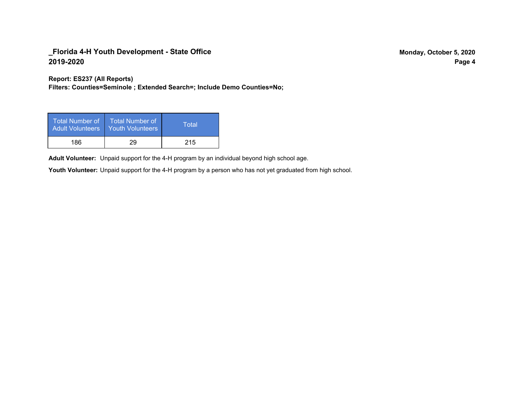**Report: ES237 (All Reports)**

**Filters: Counties=Seminole ; Extended Search=; Include Demo Counties=No;**

| Total Number of<br>Adult Volunteers | <b>Total Number of</b><br><b>Youth Volunteers</b> | Total |
|-------------------------------------|---------------------------------------------------|-------|
| 186                                 | 29                                                | 215   |

Adult Volunteer: Unpaid support for the 4-H program by an individual beyond high school age.

Youth Volunteer: Unpaid support for the 4-H program by a person who has not yet graduated from high school.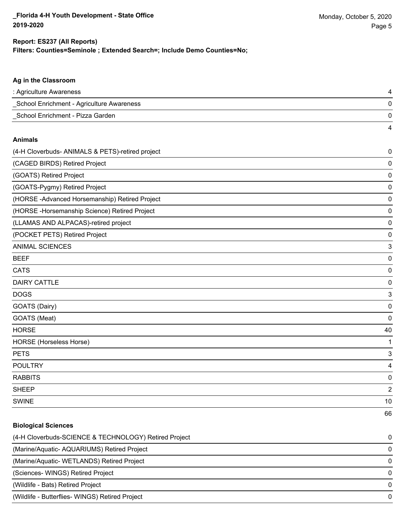**Filters: Counties=Seminole ; Extended Search=; Include Demo Counties=No;**

| Ag in the Classroom                              |                |
|--------------------------------------------------|----------------|
| : Agriculture Awareness                          | 4              |
| _School Enrichment - Agriculture Awareness       | 0              |
| School Enrichment - Pizza Garden                 | 0              |
|                                                  | 4              |
| <b>Animals</b>                                   |                |
| (4-H Cloverbuds- ANIMALS & PETS)-retired project | 0              |
| (CAGED BIRDS) Retired Project                    | 0              |
| (GOATS) Retired Project                          | 0              |
| (GOATS-Pygmy) Retired Project                    | 0              |
| (HORSE-Advanced Horsemanship) Retired Project    | 0              |
| (HORSE - Horsemanship Science) Retired Project   | 0              |
| (LLAMAS AND ALPACAS)-retired project             | 0              |
| (POCKET PETS) Retired Project                    | 0              |
| <b>ANIMAL SCIENCES</b>                           | 3              |
| <b>BEEF</b>                                      | 0              |
| <b>CATS</b>                                      | 0              |
| <b>DAIRY CATTLE</b>                              | 0              |
| <b>DOGS</b>                                      | 3              |
| GOATS (Dairy)                                    | 0              |
| GOATS (Meat)                                     | 0              |
| <b>HORSE</b>                                     | 40             |
| HORSE (Horseless Horse)                          | 1              |
| <b>PETS</b>                                      | 3              |
| <b>POULTRY</b>                                   | 4              |
| <b>RABBITS</b>                                   | 0              |
| <b>SHEEP</b>                                     | $\overline{a}$ |
| <b>SWINE</b>                                     | 10             |
|                                                  | 66             |
| <b>Biological Sciences</b>                       |                |

| (4-H Cloverbuds-SCIENCE & TECHNOLOGY) Retired Project | 0 |
|-------------------------------------------------------|---|
| (Marine/Aquatic-AQUARIUMS) Retired Project            | 0 |
| (Marine/Aquatic-WETLANDS) Retired Project             | 0 |
| (Sciences-WINGS) Retired Project                      | 0 |
| (Wildlife - Bats) Retired Project                     | 0 |
| (Wildlife - Butterflies- WINGS) Retired Project       | 0 |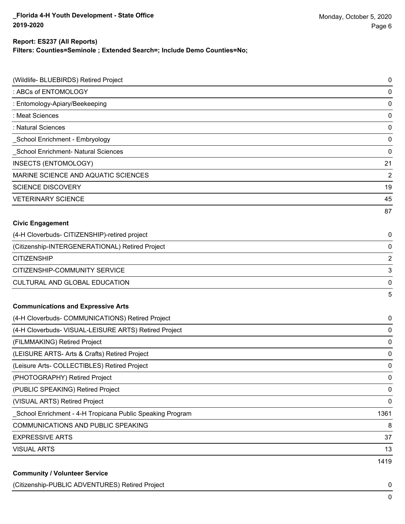**Filters: Counties=Seminole ; Extended Search=; Include Demo Counties=No;**

| (Wildlife- BLUEBIRDS) Retired Project                      | $\mathbf 0$    |
|------------------------------------------------------------|----------------|
| : ABCs of ENTOMOLOGY                                       | $\mathbf 0$    |
| : Entomology-Apiary/Beekeeping                             | $\mathbf 0$    |
| : Meat Sciences                                            | 0              |
| : Natural Sciences                                         | $\mathbf 0$    |
| School Enrichment - Embryology                             | 0              |
| School Enrichment- Natural Sciences                        | 0              |
| INSECTS (ENTOMOLOGY)                                       | 21             |
| MARINE SCIENCE AND AQUATIC SCIENCES                        | $\overline{2}$ |
| <b>SCIENCE DISCOVERY</b>                                   | 19             |
| <b>VETERINARY SCIENCE</b>                                  | 45             |
|                                                            | 87             |
| <b>Civic Engagement</b>                                    |                |
| (4-H Cloverbuds- CITIZENSHIP)-retired project              | 0              |
| (Citizenship-INTERGENERATIONAL) Retired Project            | $\mathbf 0$    |
| <b>CITIZENSHIP</b>                                         | $\overline{2}$ |
| CITIZENSHIP-COMMUNITY SERVICE                              | 3              |
| <b>CULTURAL AND GLOBAL EDUCATION</b>                       | 0              |
|                                                            | 5              |
| <b>Communications and Expressive Arts</b>                  |                |
| (4-H Cloverbuds- COMMUNICATIONS) Retired Project           | 0              |
| (4-H Cloverbuds- VISUAL-LEISURE ARTS) Retired Project      | 0              |
| (FILMMAKING) Retired Project                               | 0              |
| (LEISURE ARTS- Arts & Crafts) Retired Project              | 0              |
| (Leisure Arts- COLLECTIBLES) Retired Project               | 0              |
| (PHOTOGRAPHY) Retired Project                              | 0              |
| (PUBLIC SPEAKING) Retired Project                          | $\mathbf 0$    |
| (VISUAL ARTS) Retired Project                              | 0              |
| _School Enrichment - 4-H Tropicana Public Speaking Program | 1361           |
| <b>COMMUNICATIONS AND PUBLIC SPEAKING</b>                  | 8              |
| <b>EXPRESSIVE ARTS</b>                                     | 37             |
| <b>VISUAL ARTS</b>                                         | 13             |
|                                                            | 1419           |
| <b>Community / Volunteer Service</b>                       |                |

(Citizenship-PUBLIC ADVENTURES) Retired Project 0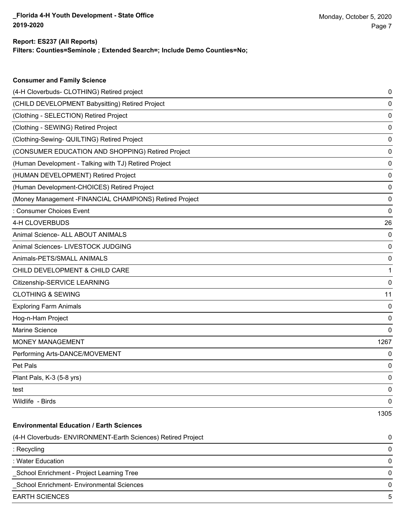**Consumer and Family Science**

**Filters: Counties=Seminole ; Extended Search=; Include Demo Counties=No;**

| (4-H Cloverbuds- CLOTHING) Retired project                   | 0    |
|--------------------------------------------------------------|------|
| (CHILD DEVELOPMENT Babysitting) Retired Project              | 0    |
| (Clothing - SELECTION) Retired Project                       | 0    |
| (Clothing - SEWING) Retired Project                          | 0    |
| (Clothing-Sewing- QUILTING) Retired Project                  | 0    |
| (CONSUMER EDUCATION AND SHOPPING) Retired Project            | 0    |
| (Human Development - Talking with TJ) Retired Project        | 0    |
| (HUMAN DEVELOPMENT) Retired Project                          | 0    |
| (Human Development-CHOICES) Retired Project                  | 0    |
| (Money Management - FINANCIAL CHAMPIONS) Retired Project     | 0    |
| : Consumer Choices Event                                     | 0    |
| 4-H CLOVERBUDS                                               | 26   |
| Animal Science- ALL ABOUT ANIMALS                            | 0    |
| Animal Sciences- LIVESTOCK JUDGING                           | 0    |
| Animals-PETS/SMALL ANIMALS                                   | 0    |
| CHILD DEVELOPMENT & CHILD CARE                               | 1    |
| Citizenship-SERVICE LEARNING                                 | 0    |
| <b>CLOTHING &amp; SEWING</b>                                 | 11   |
| <b>Exploring Farm Animals</b>                                | 0    |
| Hog-n-Ham Project                                            | 0    |
| Marine Science                                               | 0    |
| <b>MONEY MANAGEMENT</b>                                      | 1267 |
| Performing Arts-DANCE/MOVEMENT                               | 0    |
| Pet Pals                                                     | 0    |
| Plant Pals, K-3 (5-8 yrs)                                    | 0    |
| test                                                         | 0    |
| Wildlife - Birds                                             | 0    |
|                                                              | 1305 |
| <b>Environmental Education / Earth Sciences</b>              |      |
| (4-H Cloverbuds- ENVIRONMENT-Earth Sciences) Retired Project | 0    |
| : Recycling                                                  | 0    |
| : Water Education                                            | 0    |
| School Enrichment - Project Learning Tree                    | 0    |
| School Enrichment- Environmental Sciences                    | 0    |
| <b>EARTH SCIENCES</b>                                        | 5    |
|                                                              |      |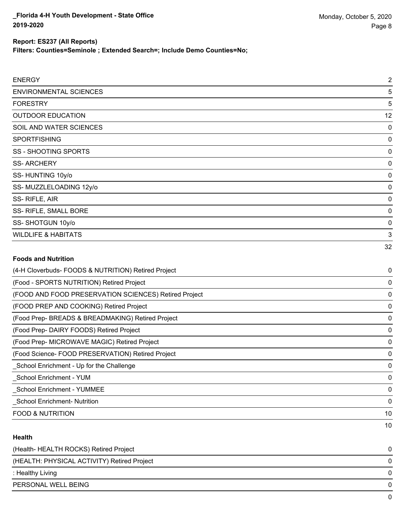10

### **Report: ES237 (All Reports)**

**Filters: Counties=Seminole ; Extended Search=; Include Demo Counties=No;**

| <b>ENERGY</b>                                         | $\overline{2}$ |
|-------------------------------------------------------|----------------|
| <b>ENVIRONMENTAL SCIENCES</b>                         | 5              |
| <b>FORESTRY</b>                                       | 5              |
| <b>OUTDOOR EDUCATION</b>                              | 12             |
| SOIL AND WATER SCIENCES                               | 0              |
| <b>SPORTFISHING</b>                                   | $\mathbf 0$    |
| <b>SS - SHOOTING SPORTS</b>                           | 0              |
| <b>SS-ARCHERY</b>                                     | 0              |
| SS-HUNTING 10y/o                                      | $\mathbf 0$    |
| SS- MUZZLELOADING 12y/o                               | $\mathbf 0$    |
| SS-RIFLE, AIR                                         | 0              |
| SS- RIFLE, SMALL BORE                                 | 0              |
| SS-SHOTGUN 10y/o                                      | 0              |
| <b>WILDLIFE &amp; HABITATS</b>                        | 3              |
|                                                       | 32             |
| <b>Foods and Nutrition</b>                            |                |
| (4-H Cloverbuds- FOODS & NUTRITION) Retired Project   | 0              |
| (Food - SPORTS NUTRITION) Retired Project             | 0              |
| (FOOD AND FOOD PRESERVATION SCIENCES) Retired Project | 0              |
| (FOOD PREP AND COOKING) Retired Project               | 0              |
| (Food Prep- BREADS & BREADMAKING) Retired Project     | $\mathbf 0$    |
| (Food Prep- DAIRY FOODS) Retired Project              | $\mathbf 0$    |
| (Food Prep- MICROWAVE MAGIC) Retired Project          | 0              |
| (Food Science- FOOD PRESERVATION) Retired Project     | 0              |
| School Enrichment - Up for the Challenge              | $\mathbf 0$    |
| _School Enrichment - YUM                              | 0              |
| _School Enrichment - YUMMEE                           | $\mathbf 0$    |
| <b>School Enrichment- Nutrition</b>                   | 0              |

#### **Health**

| (Health-HEALTH ROCKS) Retired Project       | 0            |
|---------------------------------------------|--------------|
| (HEALTH: PHYSICAL ACTIVITY) Retired Project | 0            |
| : Healthy Living                            | 0            |
| PERSONAL WELL BEING                         | 0            |
|                                             | <sup>n</sup> |

FOOD & NUTRITION 10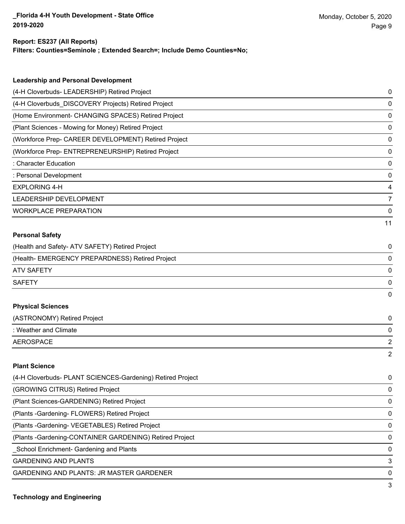**Filters: Counties=Seminole ; Extended Search=; Include Demo Counties=No;**

| <b>Leadership and Personal Development</b>                 |    |
|------------------------------------------------------------|----|
| (4-H Cloverbuds- LEADERSHIP) Retired Project               | 0  |
| (4-H Cloverbuds_DISCOVERY Projects) Retired Project        | 0  |
| (Home Environment- CHANGING SPACES) Retired Project        | 0  |
| (Plant Sciences - Mowing for Money) Retired Project        | 0  |
| (Workforce Prep- CAREER DEVELOPMENT) Retired Project       | 0  |
| (Workforce Prep- ENTREPRENEURSHIP) Retired Project         | 0  |
| : Character Education                                      | 0  |
| : Personal Development                                     | 0  |
| <b>EXPLORING 4-H</b>                                       | 4  |
| LEADERSHIP DEVELOPMENT                                     | 7  |
| <b>WORKPLACE PREPARATION</b>                               | 0  |
|                                                            | 11 |
| <b>Personal Safety</b>                                     |    |
| (Health and Safety- ATV SAFETY) Retired Project            | 0  |
| (Health- EMERGENCY PREPARDNESS) Retired Project            | 0  |
| <b>ATV SAFETY</b>                                          | 0  |
| <b>SAFETY</b>                                              | 0  |
|                                                            | 0  |
| <b>Physical Sciences</b>                                   |    |
| (ASTRONOMY) Retired Project                                | 0  |
| : Weather and Climate                                      | 0  |
| <b>AEROSPACE</b>                                           | 2  |
|                                                            | 2  |
| <b>Plant Science</b>                                       |    |
| (4-H Cloverbuds- PLANT SCIENCES-Gardening) Retired Project | 0  |
| (GROWING CITRUS) Retired Project                           | 0  |
| (Plant Sciences-GARDENING) Retired Project                 | 0  |
| (Plants - Gardening - FLOWERS) Retired Project             | 0  |
| (Plants - Gardening - VEGETABLES) Retired Project          | 0  |
| (Plants - Gardening-CONTAINER GARDENING) Retired Project   | 0  |
| School Enrichment- Gardening and Plants                    | 0  |

GARDENING AND PLANTS 3

GARDENING AND PLANTS: JR MASTER GARDENER 0